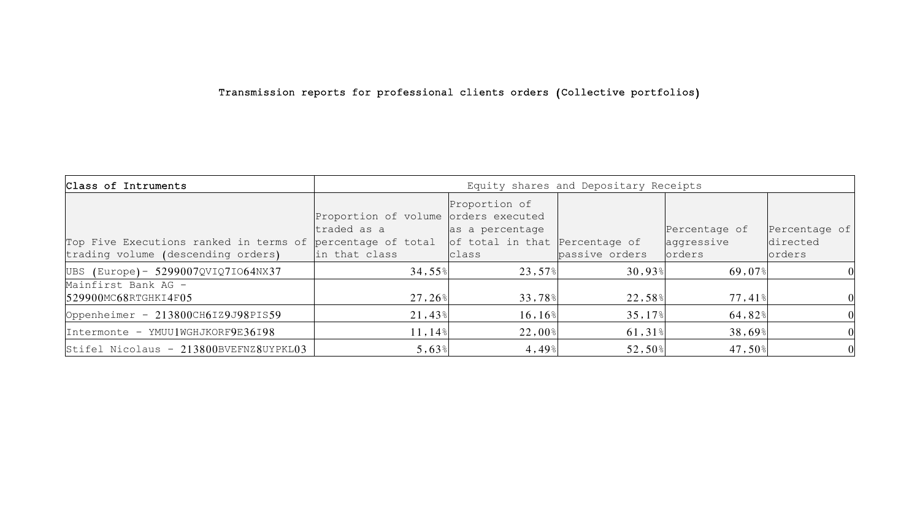# Transmission reports for professional clients orders (Collective portfolios)

| Class of Intruments                                                                                                             | Equity shares and Depositary Receipts               |                                  |                      |                      |                    |
|---------------------------------------------------------------------------------------------------------------------------------|-----------------------------------------------------|----------------------------------|----------------------|----------------------|--------------------|
|                                                                                                                                 | Proportion of volume orders executed<br>traded as a | Proportion of<br>as a percentage |                      | Percentage of        | Percentage of      |
| Top Five Executions ranked in terms of percentage of total of total in that Percentage of<br>trading volume (descending orders) | in that class                                       | class                            | passive orders       | aggressive<br>orders | directed<br>orders |
| UBS (Europe) - 5299007QVIQ7I064NX37                                                                                             | 34,55%                                              | $23,57$ <sup>8</sup>             | $30,93$ <sup>8</sup> | 69,07%               |                    |
| Mainfirst Bank AG -<br>529900MC68RTGHKI4F05                                                                                     | 27,26%                                              | 33,78%                           | 22,58%               | $77,41$ $\,$         | $\Omega$           |
| Oppenheimer - 213800CH6IZ9J98PIS59                                                                                              | $21,43$ <sup>8</sup>                                | $16, 16$ <sup>§</sup>            | $35,17$ <sup>8</sup> | 64,82%               | $\Omega$           |
| Intermonte - YMUU1WGHJKORF9E36198                                                                                               | 11,14%                                              | $22,00$ <sup>§</sup>             | $61,31$ <sup>§</sup> | 38,69%               | 0                  |
| Stifel Nicolaus - 213800BVEFNZ8UYPKL03                                                                                          | 5,63%                                               | $4,49$ $\,$                      | 52,50%               | $47,50$ <sup>s</sup> | 0                  |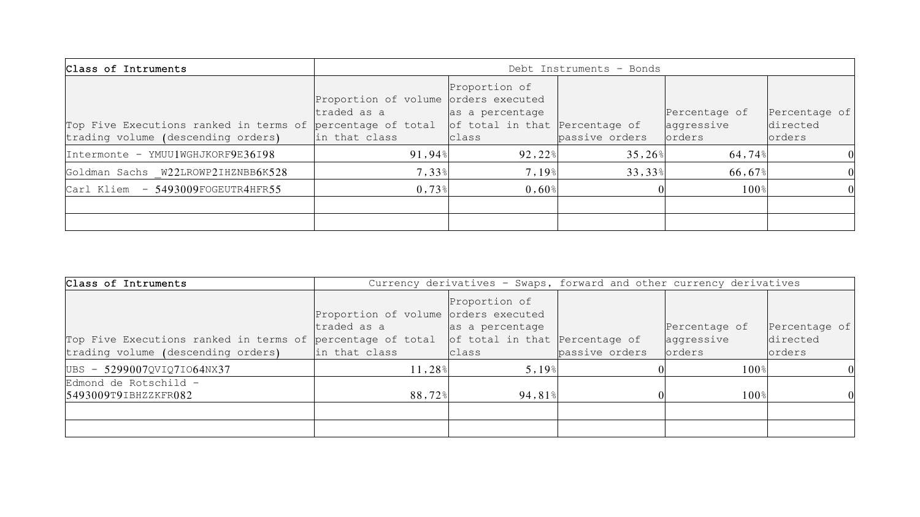| Class of Intruments                                                                                                             | Debt Instruments - Bonds                                             |                                           |                      |                                       |                                     |
|---------------------------------------------------------------------------------------------------------------------------------|----------------------------------------------------------------------|-------------------------------------------|----------------------|---------------------------------------|-------------------------------------|
| Top Five Executions ranked in terms of percentage of total of total in that Percentage of<br>trading volume (descending orders) | Proportion of volume orders executed<br>traded as a<br>in that class | Proportion of<br>as a percentage<br>class | passive orders       | Percentage of<br>aggressive<br>orders | Percentage of<br>directed<br>orders |
| Intermonte - YMUU1WGHJKORF9E36198                                                                                               | $91,94$ <sup><math>\frac{8}{2}</math></sup>                          | $92,22$ $\,^{\circ}$                      | $35,26$ <sup>8</sup> | 64,74%                                |                                     |
| Goldman Sachs W22LROWP2IHZNBB6K528                                                                                              | 7,33%                                                                | $7,19$ <sup>§</sup>                       | 33,33%               | 66,67%                                | $\Omega$                            |
| Carl Kliem - 5493009FOGEUTR4HFR55                                                                                               | $0.73$ <sup>s</sup>                                                  | $0,60$ <sup>s</sup>                       |                      | 100 <sup>°</sup>                      |                                     |
|                                                                                                                                 |                                                                      |                                           |                      |                                       |                                     |
|                                                                                                                                 |                                                                      |                                           |                      |                                       |                                     |

| Class of Intruments                                                                           | Currency derivatives - Swaps, forward and other currency derivatives |                                  |                |               |                |  |
|-----------------------------------------------------------------------------------------------|----------------------------------------------------------------------|----------------------------------|----------------|---------------|----------------|--|
|                                                                                               | Proportion of volume orders executed<br>traded as a                  | Proportion of<br>as a percentage |                | Percentage of | Percentage of  |  |
| Top Five Executions ranked in terms of percentage of total $ $ of total in that Percentage of |                                                                      |                                  |                | aggressive    | directed       |  |
| trading volume (descending orders)                                                            | in that class                                                        | class                            | passive orders | orders        | <b>lorders</b> |  |
| UBS - 5299007QVIQ7I064NX37                                                                    | 11,28%                                                               | $5,19$ <sup>§</sup>              |                | $100$ %       |                |  |
| Edmond de Rotschild -                                                                         |                                                                      |                                  |                |               |                |  |
| 5493009T9IBHZZKFR082                                                                          | 88,72%                                                               | $94,81$ <sup>8</sup>             |                | 100%          |                |  |
|                                                                                               |                                                                      |                                  |                |               |                |  |
|                                                                                               |                                                                      |                                  |                |               |                |  |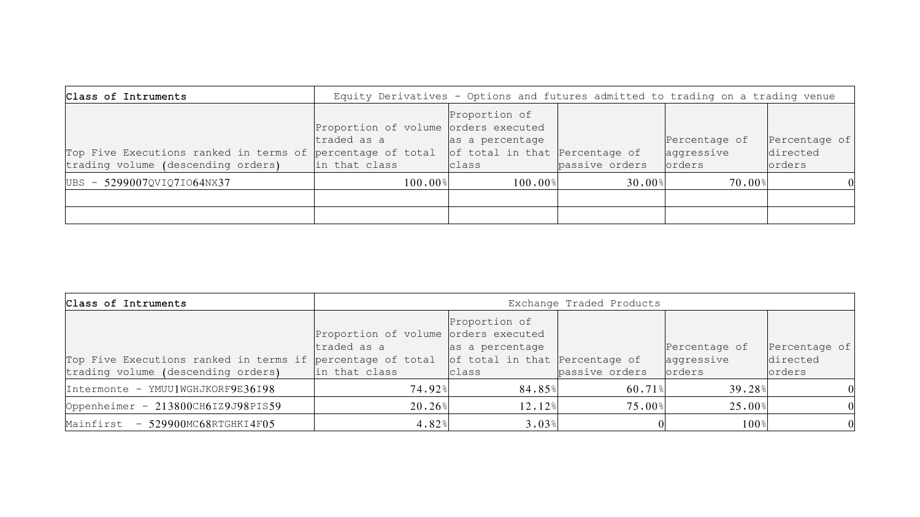| Class of Intruments                                                                                                                     | Equity Derivatives - Options and futures admitted to trading on a trading venue |                       |                                           |                      |                                       |                                     |
|-----------------------------------------------------------------------------------------------------------------------------------------|---------------------------------------------------------------------------------|-----------------------|-------------------------------------------|----------------------|---------------------------------------|-------------------------------------|
| Top Five Executions ranked in terms of percentage of total $\vert$ of total in that Percentage of<br>trading volume (descending orders) | Proportion of volume orders executed<br>traded as a<br>in that class            |                       | Proportion of<br>as a percentage<br>class | passive orders       | Percentage of<br>aggressive<br>orders | Percentage of<br>directed<br>orders |
| UBS - 5299007QVIQ7I064NX37                                                                                                              |                                                                                 | $100,00$ <sup>§</sup> | $100,00$ <sup>s</sup>                     | $30,00$ <sup>s</sup> | $70,00$ $\,$                          |                                     |
|                                                                                                                                         |                                                                                 |                       |                                           |                      |                                       |                                     |
|                                                                                                                                         |                                                                                 |                       |                                           |                      |                                       |                                     |

| Class of Intruments                                                                                                                 | Exchange Traded Products                                             |                                            |                      |                                       |                                             |  |
|-------------------------------------------------------------------------------------------------------------------------------------|----------------------------------------------------------------------|--------------------------------------------|----------------------|---------------------------------------|---------------------------------------------|--|
| Top Five Executions ranked in terms if percentage of total $ $ of total in that Percentage of<br>trading volume (descending orders) | Proportion of volume orders executed<br>traded as a<br>in that class | Proportion of<br>as a percentage<br>class  | passive orders       | Percentage of<br>aggressive<br>orders | Percentage of<br>directed<br><b>lorders</b> |  |
| Intermonte - YMUU1WGHJKORF9E36198                                                                                                   | <b>74,92</b> %                                                       | $84,85$ <sup>8</sup>                       | $60,71$ <sup>8</sup> | 39,28%                                |                                             |  |
| Oppenheimer - 213800CH6IZ9J98PIS59                                                                                                  | $20, 26$ <sup>§</sup>                                                | $12,12$ <sup>8</sup>                       | $75,00$ <sup>§</sup> | $25,00$ <sup>s</sup>                  |                                             |  |
| Mainfirst - 529900MC68RTGHKI4F05                                                                                                    | 4,82%                                                                | $3,03$ <sup><math>\frac{8}{9}</math></sup> |                      | 100%                                  | 0                                           |  |